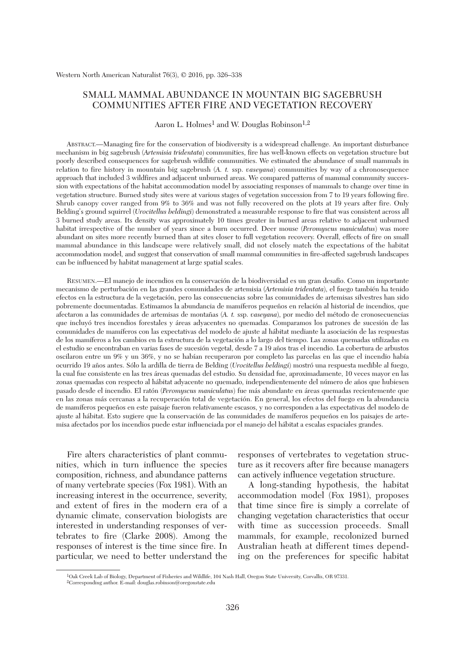# SMALL MAMMAL ABUNDANCE IN MOUNTAIN BIG SAGEBRUSH COMMUNITIES AFTER FIRE AND VEGETATION RECOVERY

Aaron L. Holmes<sup>1</sup> and W. Douglas Robinson<sup>1,2</sup>

 ABSTRACT.—Managing fire for the conservation of biodiversity is a widespread challenge. An important disturbance mechanism in big sagebrush (*Artemisia tridentata*) communities, fire has well-known effects on vegetation structure but poorly described consequences for sagebrush wildlife communities. We estimated the abundance of small mammals in relation to fire history in mountain big sagebrush (*A. t.* ssp. *vaseyana*) communities by way of a chronosequence approach that included 3 wildfires and adjacent unburned areas. We compared patterns of mammal community succession with expectations of the habitat accommodation model by associating responses of mammals to change over time in vegetation structure. Burned study sites were at various stages of vegetation succession from 7 to 19 years following fire. Shrub canopy cover ranged from 9% to 36% and was not fully recovered on the plots at 19 years after fire. Only Belding's ground squirrel (*Urocitellus beldingi*) demonstrated a measurable response to fire that was consistent across all 3 burned study areas. Its density was approximately 10 times greater in burned areas relative to adjacent unburned habitat irrespective of the number of years since a burn occurred. Deer mouse (*Peromyscus maniculatus*) was more abundant on sites more recently burned than at sites closer to full vegetation recovery. Overall, effects of fire on small mammal abundance in this landscape were relatively small, did not closely match the expectations of the habitat accommodation model, and suggest that conservation of small mammal communities in fire-affected sagebrush landscapes can be influenced by habitat management at large spatial scales.

 RESUMEN.—El manejo de incendios en la conservación de la biodiversidad es un gran desafío. Como un importante mecanismo de perturbación en las grandes comunidades de artemisia (*Artemisia tridentata*), el fuego también ha tenido efectos en la estructura de la vegetación, pero las consecuencias sobre las comunidades de artemisas silvestres han sido pobremente documentadas. Estimamos la abundancia de mamíferos pequeños en relación al historial de incendios, que afectaron a las comunidades de artemisas de montañas (*A. t.* ssp. *vaseyana*), por medio del método de cronosecuencias que incluyó tres incendios forestales y áreas adyacentes no quemadas. Comparamos los patrones de sucesión de las comunidades de mamíferos con las expectativas del modelo de ajuste al hábitat mediante la asociación de las respuestas de los mamíferos a los cambios en la estructura de la vegetación a lo largo del tiempo. Las zonas quemadas utilizadas en el estudio se encontraban en varias fases de sucesión vegetal, desde 7 a 19 años tras el incendio. La cobertura de arbustos oscilaron entre un 9% y un 36%, y no se habían recuperaron por completo las parcelas en las que el incendio había ocurrido 19 años antes. Sólo la ardilla de tierra de Belding (*Urocitellus beldingi*) mostró una respuesta medible al fuego, la cual fue consistente en las tres áreas quemadas del estudio. Su densidad fue, aproximadamente, 10 veces mayor en las zonas quemadas con respecto al hábitat adyacente no quemado, independientemente del número de años que hubiesen pasado desde el incendio. El ratón (*Peromyscus maniculatus*) fue más abundante en áreas quemadas recientemente que en las zonas más cercanas a la recuperación total de vegetación. En general, los efectos del fuego en la abundancia de mamíferos pequeños en este paisaje fueron relativamente escasos, y no corresponden a las expectativas del modelo de ajuste al hábitat. Esto sugiere que la conservación de las comunidades de mamíferos pequeños en los paisajes de artemisa afectados por los incendios puede estar influenciada por el manejo del hábitat a escalas espaciales grandes.

 Fire alters characteristics of plant communities, which in turn influence the species composition, richness, and abundance patterns of many vertebrate species (Fox 1981). With an increasing interest in the occurrence, severity, and extent of fires in the modern era of a dynamic climate, conservation biologists are interested in understanding responses of vertebrates to fire (Clarke 2008). Among the responses of interest is the time since fire. In particular, we need to better understand the responses of vertebrates to vegetation structure as it recovers after fire because managers can actively influence vegetation structure.

 A long-standing hypothesis, the habitat accommodation model (Fox 1981), proposes that time since fire is simply a correlate of changing vegetation characteristics that occur with time as succession proceeds. Small mammals, for example, recolonized burned Australian heath at different times depending on the preferences for specific habitat

 <sup>1</sup>Oak Creek Lab of Biology, Department of Fisheries and Wildlife, 104 Nash Hall, Oregon State University, Corvallis, OR 97331. 2Corresponding author. E-mail: douglas.robinson@oregonstate.edu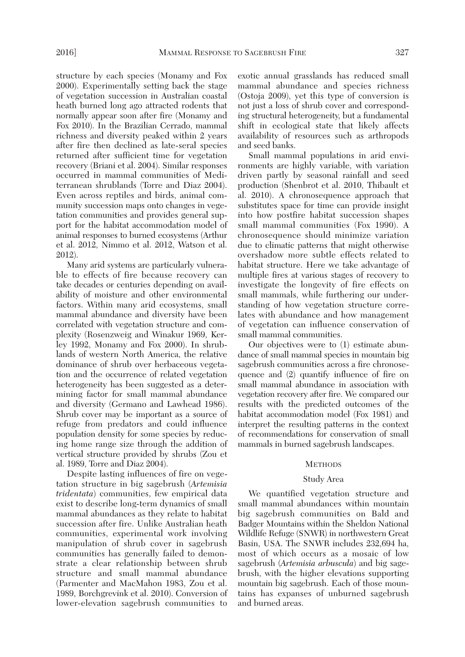structure by each species (Monamy and Fox 2000). Experimentally setting back the stage of vegetation succession in Australian coastal heath burned long ago attracted rodents that normally appear soon after fire (Monamy and Fox 2010). In the Brazilian Cerrado, mammal richness and diversity peaked within 2 years after fire then declined as late-seral species returned after sufficient time for vegetation recovery (Briani et al. 2004). Similar responses occurred in mammal communities of Mediterranean shrublands (Torre and Diaz 2004). Even across reptiles and birds, animal community succession maps onto changes in vegetation communities and provides general support for the habitat accommodation model of animal responses to burned ecosystems (Arthur et al. 2012, Nimmo et al. 2012, Watson et al. 2012).

 Many arid systems are particularly vulnerable to effects of fire because recovery can take decades or centuries depending on availability of moisture and other environmental factors. Within many arid ecosystems, small mammal abundance and diversity have been correlated with vegetation structure and complexity (Rosenzweig and Winakur 1969, Kerley 1992, Monamy and Fox 2000). In shrublands of western North America, the relative dominance of shrub over herbaceous vegetation and the occurrence of related vegetation heterogeneity has been suggested as a determining factor for small mammal abundance and diversity (Germano and Lawhead 1986). Shrub cover may be important as a source of refuge from predators and could influence population density for some species by reducing home range size through the addition of vertical structure provided by shrubs (Zou et al. 1989, Torre and Diaz 2004).

 Despite lasting influences of fire on vegetation structure in big sagebrush (*Artemisia tridentata*) communities, few empirical data exist to describe long-term dynamics of small mammal abundances as they relate to habitat succession after fire. Unlike Australian heath communities, experimental work involving manipulation of shrub cover in sagebrush communities has generally failed to demonstrate a clear relationship between shrub structure and small mammal abundance (Parmenter and MacMahon 1983, Zou et al. 1989, Borchgrevink et al. 2010). Conversion of lower-elevation sagebrush communities to exotic annual grasslands has reduced small mammal abundance and species richness (Ostoja 2009), yet this type of conversion is not just a loss of shrub cover and corresponding structural heterogeneity, but a fundamental shift in ecological state that likely affects availability of resources such as arthropods and seed banks.

 Small mammal populations in arid environments are highly variable, with variation driven partly by seasonal rainfall and seed production (Shenbrot et al. 2010, Thibault et al. 2010). A chronosequence approach that substitutes space for time can provide insight into how postfire habitat succession shapes small mammal communities (Fox 1990). A chronosequence should minimize variation due to climatic patterns that might otherwise overshadow more subtle effects related to habitat structure. Here we take advantage of multiple fires at various stages of recovery to investigate the longevity of fire effects on small mammals, while furthering our understanding of how vegetation structure correlates with abundance and how management of vegetation can influence conservation of small mammal communities.

 Our objectives were to (1) estimate abundance of small mammal species in mountain big sagebrush communities across a fire chronosequence and (2) quantify influence of fire on small mammal abundance in association with vegetation recovery after fire. We compared our results with the predicted outcomes of the habitat accommodation model (Fox 1981) and interpret the resulting patterns in the context of recommendations for conservation of small mammals in burned sagebrush landscapes.

### **METHODS**

### Study Area

 We quantified vegetation structure and small mammal abundances within mountain big sagebrush communities on Bald and Badger Mountains within the Sheldon National Wildlife Refuge (SNWR) in northwestern Great Basin, USA. The SNWR includes 232,694 ha, most of which occurs as a mosaic of low sagebrush (*Artemisia arbuscula*) and big sagebrush, with the higher elevations supporting mountain big sagebrush. Each of those mountains has expanses of unburned sagebrush and burned areas.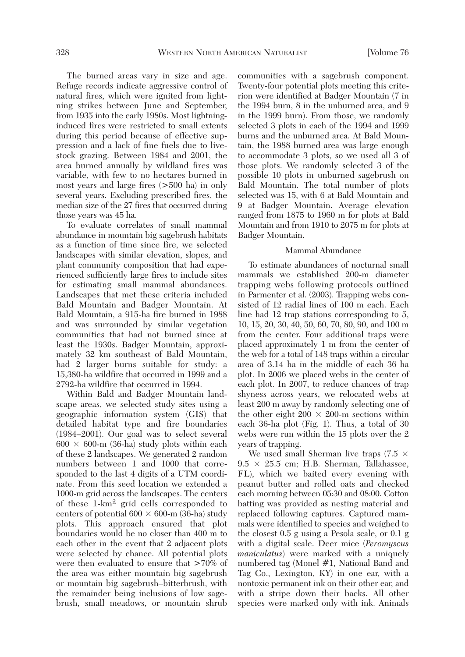The burned areas vary in size and age. Refuge records indicate aggressive control of natural fires, which were ignited from lightning strikes between June and September, from 1935 into the early 1980s. Most lightninginduced fires were restricted to small extents during this period because of effective suppression and a lack of fine fuels due to livestock grazing. Between 1984 and 2001, the area burned annually by wildland fires was variable, with few to no hectares burned in most years and large fires (>500 ha) in only several years. Excluding prescribed fires, the median size of the 27 fires that occurred during those years was 45 ha.

 To evaluate correlates of small mammal abundance in mountain big sagebrush habitats as a function of time since fire, we selected landscapes with similar elevation, slopes, and plant community composition that had experienced sufficiently large fires to include sites for estimating small mammal abundances. Landscapes that met these criteria included Bald Mountain and Badger Mountain. At Bald Mountain, a 915-ha fire burned in 1988 and was surrounded by similar vegetation communities that had not burned since at least the 1930s. Badger Mountain, approximately 32 km southeast of Bald Mountain, had 2 larger burns suitable for study: a 15,380-ha wildfire that occurred in 1999 and a 2792-ha wildfire that occurred in 1994.

 Within Bald and Badger Mountain landscape areas, we selected study sites using a geographic information system (GIS) that detailed habitat type and fire boundaries (1984–2001). Our goal was to select several  $600 \times 600$ -m (36-ha) study plots within each of these 2 landscapes. We generated 2 random numbers between 1 and 1000 that corresponded to the last 4 digits of a UTM coordinate. From this seed location we extended a 1000-m grid across the landscapes. The centers of these 1-km2 grid cells corresponded to centers of potential  $600 \times 600$ -m (36-ha) study plots. This approach ensured that plot boundaries would be no closer than 400 m to each other in the event that 2 adjacent plots were selected by chance. All potential plots were then evaluated to ensure that >70% of the area was either mountain big sagebrush or mountain big sagebrush–bitterbrush, with the remainder being inclusions of low sagebrush, small meadows, or mountain shrub communities with a sagebrush component. Twenty-four potential plots meeting this criterion were identified at Badger Mountain (7 in the 1994 burn, 8 in the unburned area, and 9 in the 1999 burn). From those, we randomly selected 3 plots in each of the 1994 and 1999 burns and the unburned area. At Bald Mountain, the 1988 burned area was large enough to accommodate 3 plots, so we used all 3 of those plots. We randomly selected 3 of the possible 10 plots in unburned sagebrush on Bald Mountain. The total number of plots selected was 15, with 6 at Bald Mountain and 9 at Badger Mountain. Average elevation ranged from 1875 to 1960 m for plots at Bald Mountain and from 1910 to 2075 m for plots at Badger Mountain.

# Mammal Abundance

 To estimate abundances of nocturnal small mammals we established 200-m diameter trapping webs following protocols outlined in Parmenter et al. (2003). Trapping webs consisted of 12 radial lines of 100 m each. Each line had 12 trap stations corresponding to 5, 10, 15, 20, 30, 40, 50, 60, 70, 80, 90, and 100 m from the center. Four additional traps were placed approximately 1 m from the center of the web for a total of 148 traps within a circular area of 3.14 ha in the middle of each 36 ha plot. In 2006 we placed webs in the center of each plot. In 2007, to reduce chances of trap shyness across years, we relocated webs at least 200 m away by randomly selecting one of the other eight  $200 \times 200$ -m sections within each 36-ha plot (Fig. 1). Thus, a total of 30 webs were run within the 15 plots over the 2 years of trapping.

We used small Sherman live traps (7.5  $\times$  $9.5 \times 25.5$  cm; H.B. Sherman, Tallahassee, FL), which we baited every evening with peanut butter and rolled oats and checked each morning between 05:30 and 08:00. Cotton batting was provided as nesting material and replaced following captures. Captured mammals were identified to species and weighed to the closest 0.5 g using a Pesola scale, or 0.1 g with a digital scale. Deer mice (*Peromyscus maniculatus*) were marked with a uniquely numbered tag (Monel #1, National Band and Tag Co., Lexington, KY) in one ear, with a nontoxic permanent ink on their other ear, and with a stripe down their backs. All other species were marked only with ink. Animals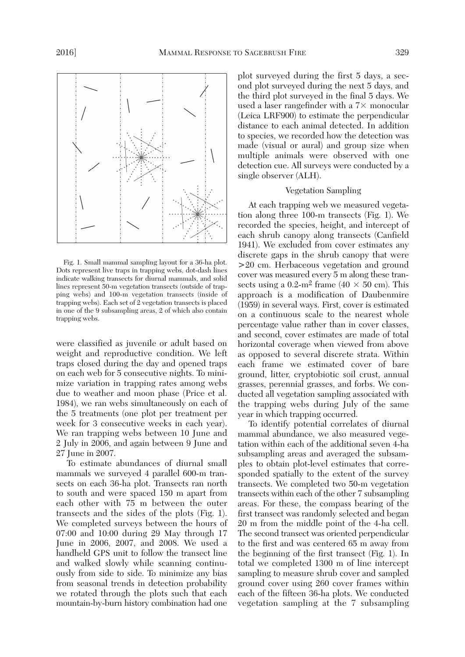

 Fig. 1. Small mammal sampling layout for a 36-ha plot. Dots represent live traps in trapping webs, dot-dash lines indicate walking transects for diurnal mammals, and solid lines represent 50-m vegetation transects (outside of trapping webs) and 100-m vegetation transects (inside of trapping webs). Each set of 2 vegetation transects is placed in one of the 9 subsampling areas, 2 of which also contain trapping webs.

were classified as juvenile or adult based on weight and reproductive condition. We left traps closed during the day and opened traps on each web for 5 consecutive nights. To minimize variation in trapping rates among webs due to weather and moon phase (Price et al. 1984), we ran webs simultaneously on each of the 5 treatments (one plot per treatment per week for 3 consecutive weeks in each year). We ran trapping webs between 10 June and 2 July in 2006, and again between 9 June and 27 June in 2007.

 To estimate abundances of diurnal small mammals we surveyed 4 parallel 600-m transects on each 36-ha plot. Transects ran north to south and were spaced 150 m apart from each other with 75 m between the outer transects and the sides of the plots (Fig. 1). We completed surveys between the hours of 07:00 and 10:00 during 29 May through 17 June in 2006, 2007, and 2008. We used a handheld GPS unit to follow the transect line and walked slowly while scanning continuously from side to side. To minimize any bias from seasonal trends in detection probability we rotated through the plots such that each mountain-by-burn history combination had one plot surveyed during the first 5 days, a second plot surveyed during the next 5 days, and the third plot surveyed in the final 5 days. We used a laser rangefinder with a  $7\times$  monocular (Leica LRF900) to estimate the perpendicular distance to each animal detected. In addition to species, we recorded how the detection was made (visual or aural) and group size when multiple animals were observed with one detection cue. All surveys were conducted by a single observer (ALH).

# Vegetation Sampling

 At each trapping web we measured vegetation along three 100-m transects (Fig. 1). We recorded the species, height, and intercept of each shrub canopy along transects (Canfield 1941). We excluded from cover estimates any discrete gaps in the shrub canopy that were >20 cm. Herbaceous vegetation and ground cover was measured every 5 m along these transects using a 0.2-m<sup>2</sup> frame (40  $\times$  50 cm). This approach is a modification of Daubenmire (1959) in several ways. First, cover is estimated on a continuous scale to the nearest whole percentage value rather than in cover classes, and second, cover estimates are made of total horizontal coverage when viewed from above as opposed to several discrete strata. Within each frame we estimated cover of bare ground, litter, cryptobiotic soil crust, annual grasses, perennial grasses, and forbs. We conducted all vegetation sampling associated with the trapping webs during July of the same year in which trapping occurred.

 To identify potential correlates of diurnal mammal abundance, we also measured vegetation within each of the additional seven 4-ha subsampling areas and averaged the subsamples to obtain plot-level estimates that corresponded spatially to the extent of the survey transects. We completed two 50-m vegetation transects within each of the other 7 subsampling areas. For these, the compass bearing of the first transect was randomly selected and began 20 m from the middle point of the 4-ha cell. The second transect was oriented perpendicular to the first and was centered 65 m away from the beginning of the first transect (Fig. 1). In total we completed 1300 m of line intercept sampling to measure shrub cover and sampled ground cover using 260 cover frames within each of the fifteen 36-ha plots. We conducted vegetation sampling at the 7 subsampling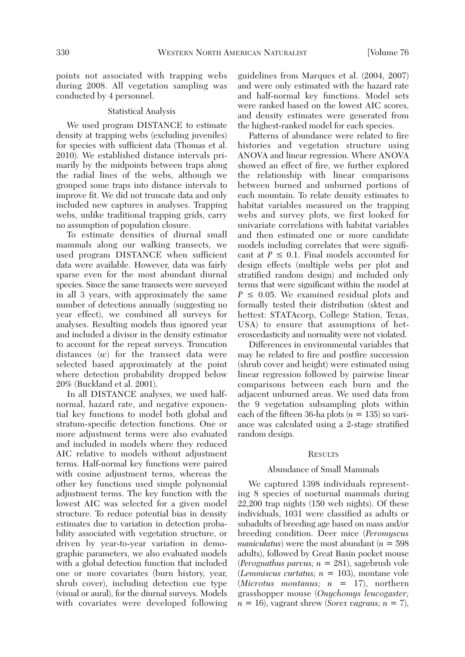points not associated with trapping webs during 2008. All vegetation sampling was conducted by 4 personnel.

## Statistical Analysis

 We used program DISTANCE to estimate density at trapping webs (excluding juveniles) for species with sufficient data (Thomas et al. 2010). We established distance intervals primarily by the midpoints between traps along the radial lines of the webs, although we grouped some traps into distance intervals to improve fit. We did not truncate data and only included new captures in analyses. Trapping webs, unlike traditional trapping grids, carry no assumption of population closure.

 To estimate densities of diurnal small mammals along our walking transects, we used program DISTANCE when sufficient data were available. However, data was fairly sparse even for the most abundant diurnal species. Since the same transects were surveyed in all 3 years, with approximately the same number of detections annually (suggesting no year effect), we combined all surveys for analyses. Resulting models thus ignored year and included a divisor in the density estimator to account for the repeat surveys. Truncation distances (*w*) for the transect data were selected based approximately at the point where detection probability dropped below 20% (Buckland et al. 2001).

 In all DISTANCE analyses, we used halfnormal, hazard rate, and negative exponential key functions to model both global and stratum-specific detection functions. One or more adjustment terms were also evaluated and included in models where they reduced AIC relative to models without adjustment terms. Half-normal key functions were paired with cosine adjustment terms, whereas the other key functions used simple polynomial adjustment terms. The key function with the lowest AIC was selected for a given model structure. To reduce potential bias in density estimates due to variation in detection probability associated with vegetation structure, or driven by year-to-year variation in demographic parameters, we also evaluated models with a global detection function that included one or more covariates (burn history, year, shrub cover), including detection cue type (visual or aural), for the diurnal surveys. Models with covariates were developed following guidelines from Marques et al. (2004, 2007) and were only estimated with the hazard rate and half-normal key functions. Model sets were ranked based on the lowest AIC scores, and density estimates were generated from the highest-ranked model for each species.

 Patterns of abundance were related to fire histories and vegetation structure using ANOVA and linear regression. Where ANOVA showed an effect of fire, we further explored the relationship with linear comparisons between burned and unburned portions of each mountain. To relate density estimates to habitat variables measured on the trapping webs and survey plots, we first looked for univariate correlations with habitat variables and then estimated one or more candidate models including correlates that were significant at  $P \leq 0.1$ . Final models accounted for design effects (multiple webs per plot and stratified random design) and included only terms that were significant within the model at *P* **≤** 0.05. We examined residual plots and formally tested their distribution (sktest and hettest: STATAcorp, College Station, Texas, USA) to ensure that assumptions of heteroscedasticity and normality were not violated.

 Differences in environmental variables that may be related to fire and postfire succession (shrub cover and height) were estimated using linear regression followed by pairwise linear comparisons between each burn and the adjacent unburned areas. We used data from the 9 vegetation subsampling plots within each of the fifteen 36-ha plots  $(n = 135)$  so variance was calculated using a 2-stage stratified random design.

# **RESULTS**

# Abundance of Small Mammals

 We captured 1398 individuals representing 8 species of nocturnal mammals during 22,200 trap nights (150 web nights). Of these individuals, 1031 were classified as adults or subadults of breeding age based on mass and/or breeding condition. Deer mice (*Peromyscus maniculatus*) were the most abundant  $(n = 598)$ adults), followed by Great Basin pocket mouse (*Perognathus parvus; n* = 281), sagebrush vole (*Lemmiscus curtatus; n* = 103), montane vole (*Microtus montanus; n* = 17), northern grasshopper mouse (*Onychomys leucogaster;*  $n = 16$ , vagrant shrew (*Sorex vagrans*;  $n = 7$ ),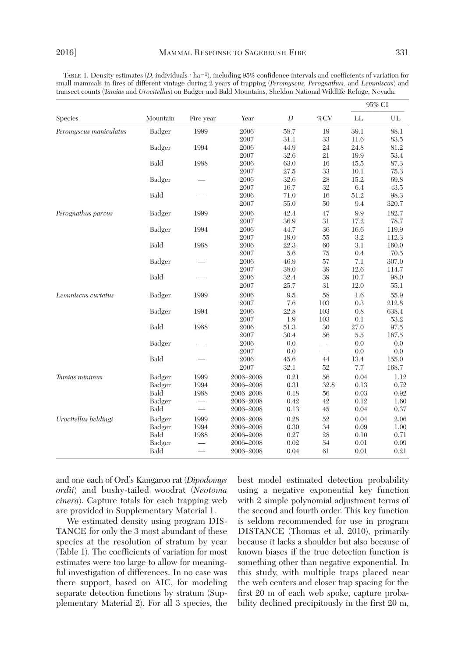TABLE 1. Density estimates (*D,* individuals ⋅ ha<sup>−</sup>1), including 95% confidence intervals and coefficients of variation for small mammals in fires of different vintage during 2 years of trapping (*Peromyscus, Perognathus,* and *Lemmiscus*) and transect counts (*Tamias* and *Urocitellus*) on Badger and Bald Mountains, Sheldon National Wildlife Refuge, Nevada.

|                        |          | Fire year | Year      | D    | $\%{\rm CV}$    | 95% CI   |       |
|------------------------|----------|-----------|-----------|------|-----------------|----------|-------|
| <b>Species</b>         | Mountain |           |           |      |                 | LL       | UL    |
| Peromyscus maniculatus | Badger   | 1999      | 2006      | 58.7 | 19              | 39.1     | 88.1  |
|                        |          |           | 2007      | 31.1 | 33              | 11.6     | 83.5  |
|                        | Badger   | 1994      | 2006      | 44.9 | 24              | 24.8     | 81.2  |
|                        |          |           | 2007      | 32.6 | 21              | 19.9     | 53.4  |
|                        | Bald     | 1988      | 2006      | 63.0 | 16              | 45.5     | 87.3  |
|                        |          |           | 2007      | 27.5 | 33              | 10.1     | 75.3  |
|                        | Badger   |           | 2006      | 32.6 | 28              | 15.2     | 69.8  |
|                        |          |           | 2007      | 16.7 | 32              | 6.4      | 43.5  |
|                        | Bald     |           | 2006      | 71.0 | 16              | $51.2\,$ | 98.3  |
|                        |          |           | 2007      | 55.0 | 50              | 9.4      | 320.7 |
| Perognathus parvus     | Badger   | 1999      | 2006      | 42.4 | 47              | 9.9      | 182.7 |
|                        |          |           | 2007      | 36.9 | 31              | 17.2     | 78.7  |
|                        | Badger   | 1994      | 2006      | 44.7 | 36              | 16.6     | 119.9 |
|                        |          |           | 2007      | 19.0 | 55              | 3.2      | 112.3 |
|                        | Bald     | 1988      | 2006      | 22.3 | 60              | 3.1      | 160.0 |
|                        |          |           | 2007      | 5.6  | 75              | 0.4      | 70.5  |
|                        | Badger   |           | 2006      | 46.9 | 57              | 7.1      | 307.0 |
|                        |          |           | 2007      | 38.0 | 39              | 12.6     | 114.7 |
|                        | Bald     |           | 2006      | 32.4 | 39              | 10.7     | 98.0  |
|                        |          |           | 2007      | 25.7 | 31              | 12.0     | 55.1  |
| Lemmiscus curtatus     | Badger   | 1999      | 2006      | 9.5  | 58              | 1.6      | 55.9  |
|                        |          |           | 2007      | 7.6  | 103             | 0.3      | 212.8 |
|                        | Badger   | 1994      | 2006      | 22.8 | 103             | 0.8      | 638.4 |
|                        |          |           | 2007      | 1.9  | 103             | 0.1      | 53.2  |
|                        | Bald     | 1988      | 2006      | 51.3 | $30\,$          | 27.0     | 97.5  |
|                        |          |           | 2007      | 30.4 | 56              | 5.5      | 167.5 |
|                        | Badger   |           | 2006      | 0.0  | $\qquad \qquad$ | 0.0      | 0.0   |
|                        |          |           | 2007      | 0.0  |                 | 0.0      | 0.0   |
|                        | Bald     |           | 2006      | 45.6 | 44              | 13.4     | 155.0 |
|                        |          |           | 2007      | 32.1 | 52              | 7.7      | 168.7 |
| Tamias minimus         | Badger   | 1999      | 2006-2008 | 0.21 | 56              | 0.04     | 1.12  |
|                        | Badger   | 1994      | 2006-2008 | 0.31 | 32.8            | $0.13\,$ | 0.72  |
|                        | Bald     | 1988      | 2006-2008 | 0.18 | 56              | 0.03     | 0.92  |
|                        | Badger   |           | 2006-2008 | 0.42 | 42              | 0.12     | 1.60  |
|                        | Bald     |           | 2006-2008 | 0.13 | 45              | 0.04     | 0.37  |
| Urocitellus beldingi   | Badger   | 1999      | 2006-2008 | 0.28 | 52              | 0.04     | 2.06  |
|                        | Badger   | 1994      | 2006-2008 | 0.30 | 34              | 0.09     | 1.00  |
|                        | Bald     | 1988      | 2006-2008 | 0.27 | 28              | 0.10     | 0.71  |
|                        | Badger   |           | 2006-2008 | 0.02 | 54              | 0.01     | 0.09  |
|                        | Bald     |           | 2006-2008 | 0.04 | 61              | 0.01     | 0.21  |

and one each of Ord's Kangaroo rat (*Dipodomys ordii*) and bushy-tailed woodrat (*Neotoma cinera*). Capture totals for each trapping web are provided in Supplementary Material 1.

 We estimated density using program DIS-TANCE for only the 3 most abundant of these species at the resolution of stratum by year (Table 1). The coefficients of variation for most estimates were too large to allow for meaningful investigation of differences. In no case was there support, based on AIC, for modeling separate detection functions by stratum (Supplementary Material 2). For all 3 species, the best model estimated detection probability using a negative exponential key function with 2 simple polynomial adjustment terms of the second and fourth order. This key function is seldom recommended for use in program DISTANCE (Thomas et al. 2010), primarily because it lacks a shoulder but also because of known biases if the true detection function is something other than negative exponential. In this study, with multiple traps placed near the web centers and closer trap spacing for the first 20 m of each web spoke, capture probability declined precipitously in the first 20 m,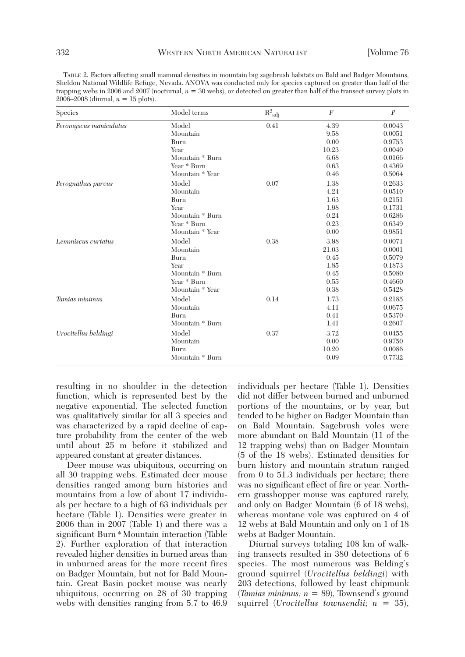| TABLE 2. Factors affecting small mammal densities in mountain big sagebrush habitats on Bald and Badger Mountains,          |
|-----------------------------------------------------------------------------------------------------------------------------|
| Sheldon National Wildlife Refuge, Nevada. ANOVA was conducted only for species captured on greater than half of the         |
| trapping webs in 2006 and 2007 (nocturnal, $n = 30$ webs), or detected on greater than half of the transect survey plots in |
| 2006–2008 (diurnal, $n = 15$ plots).                                                                                        |

| Species                | Model terms     | $\mathrm{R}^2$ adj | $\boldsymbol{F}$ | $\boldsymbol{P}$ |
|------------------------|-----------------|--------------------|------------------|------------------|
| Peromyscus maniculatus | Model<br>0.41   |                    | 4.39             | 0.0043           |
|                        | Mountain        |                    | 9.58             | 0.0051           |
|                        | Burn            |                    | 0.00             | 0.9753           |
|                        | Year            |                    | 10.23            | 0.0040           |
|                        | Mountain * Burn |                    | 6.68             | 0.0166           |
|                        | Year * Burn     |                    | 0.63             | 0.4369           |
|                        | Mountain * Year |                    | 0.46             | 0.5064           |
| Perognathus parvus     | Model<br>0.07   |                    | 1.38             | 0.2633           |
|                        | Mountain        |                    | 4.24             | 0.0510           |
|                        | Burn            |                    | 1.63             | 0.2151           |
|                        | Year            |                    | 1.98             | 0.1731           |
|                        | Mountain * Burn |                    | 0.24             | 0.6286           |
|                        | Year * Burn     |                    | 0.23             | 0.6349           |
|                        | Mountain * Year |                    | 0.00             | 0.9851           |
| Lemmiscus curtatus     | Model           | 0.38               | 3.98             | 0.0071           |
|                        | Mountain        |                    | 21.03            | 0.0001           |
|                        | Burn            |                    | 0.45             | 0.5079           |
|                        | Year            |                    | 1.85             | 0.1873           |
|                        | Mountain * Burn |                    | 0.45             | 0.5080           |
|                        | Year * Burn     |                    | 0.55             | 0.4660           |
|                        | Mountain * Year |                    | 0.38             | 0.5428           |
| Tamias minimus         | Model           | 0.14               | 1.73             | 0.2185           |
|                        | Mountain        |                    | 4.11             | 0.0675           |
|                        | Burn            |                    | 0.41             | 0.5370           |
|                        | Mountain * Burn |                    | 1.41             | 0.2607           |
| Urocitellus beldingi   | Model           | 0.37               | 3.72             | 0.0455           |
|                        | Mountain        |                    | 0.00             | 0.9750           |
|                        | Burn            |                    | 10.20            | 0.0086           |
|                        | Mountain * Burn |                    | 0.09             | 0.7732           |

resulting in no shoulder in the detection function, which is represented best by the negative exponential. The selected function was qualitatively similar for all 3 species and was characterized by a rapid decline of capture probability from the center of the web until about 25 m before it stabilized and appeared constant at greater distances.

 Deer mouse was ubiquitous, occurring on all 30 trapping webs. Estimated deer mouse densities ranged among burn histories and mountains from a low of about 17 individuals per hectare to a high of 63 individuals per hectare (Table 1). Densities were greater in 2006 than in 2007 (Table 1) and there was a significant Burn\*Mountain interaction (Table 2). Further exploration of that interaction revealed higher densities in burned areas than in unburned areas for the more recent fires on Badger Mountain, but not for Bald Mountain. Great Basin pocket mouse was nearly ubiquitous, occurring on 28 of 30 trapping webs with densities ranging from 5.7 to 46.9 individuals per hectare (Table 1). Densities did not differ between burned and unburned portions of the mountains, or by year, but tended to be higher on Badger Mountain than on Bald Mountain. Sagebrush voles were more abundant on Bald Mountain (11 of the 12 trapping webs) than on Badger Mountain (5 of the 18 webs). Estimated densities for burn history and mountain stratum ranged from 0 to 51.3 individuals per hectare; there was no significant effect of fire or year. Northern grasshopper mouse was captured rarely, and only on Badger Mountain (6 of 18 webs), whereas montane vole was captured on 4 of 12 webs at Bald Mountain and only on 1 of 18 webs at Badger Mountain.

 Diurnal surveys totaling 108 km of walking transects resulted in 380 detections of 6 species. The most numerous was Belding's ground squirrel (*Urocitellus beldingi*) with 203 detections, followed by least chipmunk (*Tamias minimus; n* = 89), Townsend's ground squirrel (*Urocitellus townsendii; n* = 35),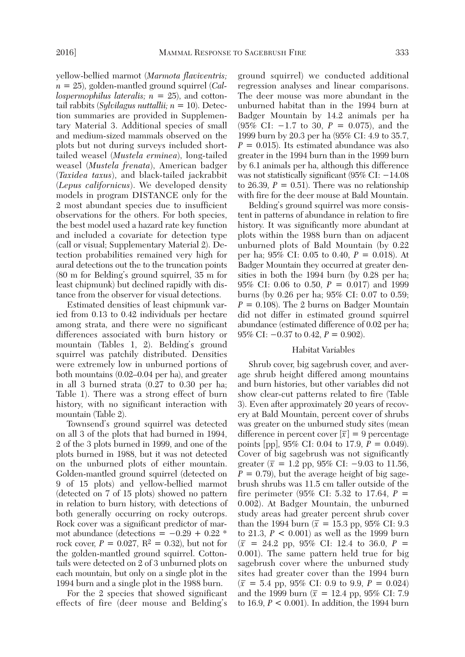yellow-bellied marmot (*Marmota flaviventris; n* = 25), golden-mantled ground squirrel (*Callospermophilus lateralis; n* = 25), and cottontail rabbits (*Sylvilagus nuttallii; n* = 10). Detection summaries are provided in Supplementary Material 3. Additional species of small and medium-sized mammals observed on the plots but not during surveys included shorttailed weasel (*Mustela erminea*), long-tailed weasel (*Mustela frenata*), American badger (*Taxidea taxus*), and black-tailed jackrabbit (*Lepus californicus*). We developed density models in program DISTANCE only for the 2 most abundant species due to insufficient observations for the others. For both species, the best model used a hazard rate key function and included a covariate for detection type (call or visual; Supplementary Material 2). Detection probabilities remained very high for aural detections out the to the truncation points (80 m for Belding's ground squirrel, 35 m for least chipmunk) but declined rapidly with distance from the observer for visual detections.

 Estimated densities of least chipmunk varied from 0.13 to 0.42 individuals per hectare among strata, and there were no significant differences associated with burn history or mountain (Tables 1, 2). Belding's ground squirrel was patchily distributed. Densities were extremely low in unburned portions of both mountains (0.02–0.04 per ha), and greater in all 3 burned strata (0.27 to 0.30 per ha; Table 1). There was a strong effect of burn history, with no significant interaction with mountain (Table 2).

 Townsend's ground squirrel was detected on all 3 of the plots that had burned in 1994, 2 of the 3 plots burned in 1999, and one of the plots burned in 1988, but it was not detected on the unburned plots of either mountain. Golden-mantled ground squirrel (detected on 9 of 15 plots) and yellow-bellied marmot (detected on 7 of 15 plots) showed no pattern in relation to burn history, with detections of both generally occurring on rocky outcrops. Rock cover was a significant predictor of marmot abundance (detections =  $-0.29 + 0.22$  \* rock cover,  $P = 0.027$ ,  $R^2 = 0.32$ ), but not for the golden-mantled ground squirrel. Cottontails were detected on 2 of 3 unburned plots on each mountain, but only on a single plot in the 1994 burn and a single plot in the 1988 burn.

 For the 2 species that showed significant effects of fire (deer mouse and Belding's ground squirrel) we conducted additional regression analyses and linear comparisons. The deer mouse was more abundant in the unburned habitat than in the 1994 burn at Badger Mountain by 14.2 animals per ha (95% CI: −1.7 to 30, *P* = 0.075), and the 1999 burn by 20.3 per ha (95% CI: 4.9 to 35.7,  $P = 0.015$ . Its estimated abundance was also greater in the 1994 burn than in the 1999 burn by 6.1 animals per ha, although this difference was not statistically significant (95% CI: −14.08 to 26.39,  $P = 0.51$ . There was no relationship with fire for the deer mouse at Bald Mountain.

 Belding's ground squirrel was more consistent in patterns of abundance in relation to fire history. It was significantly more abundant at plots within the 1988 burn than on adjacent unburned plots of Bald Mountain (by 0.22 per ha; 95% CI: 0.05 to 0.40, *P* = 0.018). At Badger Mountain they occurred at greater densities in both the 1994 burn (by 0.28 per ha; 95% CI: 0.06 to 0.50, *P* = 0.017) and 1999 burns (by 0.26 per ha; 95% CI: 0.07 to 0.59;  $P = 0.108$ . The 2 burns on Badger Mountain did not differ in estimated ground squirrel abundance (estimated difference of 0.02 per ha; 95% CI: −0.37 to 0.42, *P* = 0.902).

### Habitat Variables

 Shrub cover, big sagebrush cover, and average shrub height differed among mountains and burn histories, but other variables did not show clear-cut patterns related to fire (Table 3). Even after approximately 20 years of recovery at Bald Mountain, percent cover of shrubs was greater on the unburned study sites (mean difference in percent cover  $[\bar{x}] = 9$  percentage points [pp], 95% CI: 0.04 to 17.9, *P* = 0.049). Cover of big sagebrush was not significantly greater  $(\bar{x} = 1.2 \text{ pp}, 95\% \text{ CI: } -9.03 \text{ to } 11.56,$  $P = 0.79$ , but the average height of big sagebrush shrubs was 11.5 cm taller outside of the fire perimeter (95% CI: 5.32 to 17.64, *P* = 0.002). At Badger Mountain, the unburned study areas had greater percent shrub cover than the 1994 burn ( $\bar{x}$  = 15.3 pp, 95% CI: 9.3 to 21.3, *P* < 0.001) as well as the 1999 burn  $(\bar{x} = 24.2 \text{ pp}, 95\% \text{ CI: } 12.4 \text{ to } 36.0, P =$ 0.001). The same pattern held true for big sagebrush cover where the unburned study sites had greater cover than the 1994 burn  $(\bar{x} = 5.4 \text{ pp}, 95\% \text{ CI: } 0.9 \text{ to } 9.9, P = 0.024)$ and the 1999 burn ( $\bar{x}$  = 12.4 pp, 95% CI: 7.9 to 16.9, *P* < 0.001). In addition, the 1994 burn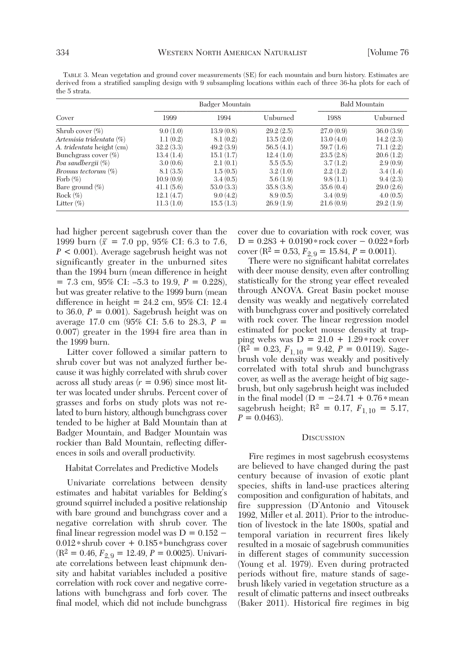TABLE 3. Mean vegetation and ground cover measurements (SE) for each mountain and burn history. Estimates are derived from a stratified sampling design with 9 subsampling locations within each of three 36-ha plots for each of the 5 strata.

| Cover                     | Badger Mountain |           |           | <b>Bald Mountain</b> |           |
|---------------------------|-----------------|-----------|-----------|----------------------|-----------|
|                           | 1999            | 1994      | Unburned  | 1988                 | Unburned  |
| Shrub cover $(\%)$        | 9.0(1.0)        | 13.9(0.8) | 29.2(2.5) | 27.0(0.9)            | 36.0(3.9) |
| Artemisia tridentata (%)  | 1.1(0.2)        | 8.1(0.2)  | 13.5(2.0) | 13.0(4.0)            | 14.2(2.3) |
| A. tridentata height (cm) | 32.2(3.3)       | 49.2(3.9) | 56.5(4.1) | 59.7(1.6)            | 71.1(2.2) |
| Bunchgrass cover $(\%)$   | 13.4(1.4)       | 15.1(1.7) | 12.4(1.0) | 23.5(2.8)            | 20.6(1.2) |
| Poa sandbergii (%)        | 3.0(0.6)        | 2.1(0.1)  | 5.5(5.5)  | 3.7(1.2)             | 2.9(0.9)  |
| Bromus tectorum $(\%)$    | 8.1(3.5)        | 1.5(0.5)  | 3.2(1.0)  | 2.2(1.2)             | 3.4(1.4)  |
| Forb $(\%)$               | 10.9(0.9)       | 3.4(0.5)  | 5.6(1.9)  | 9.8(1.1)             | 9.4(2.3)  |
| Bare ground $(\%)$        | 41.1(5.6)       | 53.0(3.3) | 35.8(3.8) | 35.6(0.4)            | 29.0(2.6) |
| Rock $(\% )$              | 12.1(4.7)       | 9.0(4.2)  | 8.9(0.5)  | 3.4(0.9)             | 4.0(0.5)  |
| Litter $(\% )$            | 11.3(1.0)       | 15.5(1.3) | 26.9(1.9) | 21.6(0.9)            | 29.2(1.9) |

had higher percent sagebrush cover than the 1999 burn ( $\bar{x}$  = 7.0 pp, 95% CI: 6.3 to 7.6, *P* < 0.001). Average sagebrush height was not significantly greater in the unburned sites than the 1994 burn (mean difference in height  $= 7.3$  cm, 95% CI:  $-5.3$  to 19.9,  $P = 0.228$ ), but was greater relative to the 1999 burn (mean difference in height  $= 24.2$  cm, 95% CI: 12.4 to 36.0,  $P = 0.001$ ). Sagebrush height was on average 17.0 cm (95% CI: 5.6 to 28.3, *P* = 0.007) greater in the 1994 fire area than in the 1999 burn.

 Litter cover followed a similar pattern to shrub cover but was not analyzed further because it was highly correlated with shrub cover across all study areas  $(r = 0.96)$  since most litter was located under shrubs. Percent cover of grasses and forbs on study plots was not related to burn history, although bunchgrass cover tended to be higher at Bald Mountain than at Badger Mountain, and Badger Mountain was rockier than Bald Mountain, reflecting differences in soils and overall productivity.

# Habitat Correlates and Predictive Models

 Univariate correlations between density estimates and habitat variables for Belding's ground squirrel included a positive relationship with bare ground and bunchgrass cover and a negative correlation with shrub cover. The final linear regression model was  $D = 0.152$  − 0.012\*shrub cover + 0.185\*bunchgrass cover  $(R^2 = 0.46, F_{2,9} = 12.49, P = 0.0025)$ . Univariate correlations between least chipmunk density and habitat variables included a positive correlation with rock cover and negative correlations with bunchgrass and forb cover. The final model, which did not include bunchgrass cover due to covariation with rock cover, was D = 0.283 + 0.0190\*rock cover − 0.022\*forb cover (R<sup>2</sup> = 0.53,  $F_{2,9}$  = 15.84,  $P = 0.0011$ ).

 There were no significant habitat correlates with deer mouse density, even after controlling statistically for the strong year effect revealed through ANOVA. Great Basin pocket mouse density was weakly and negatively correlated with bunchgrass cover and positively correlated with rock cover. The linear regression model estimated for pocket mouse density at trapping webs was  $D = 21.0 + 1.29*$  rock cover  $(R^2 = 0.23, F_{1,10} = 9.42, P = 0.0119)$ . Sagebrush vole density was weakly and positively correlated with total shrub and bunchgrass cover, as well as the average height of big sagebrush, but only sagebrush height was included in the final model (D =  $-24.71 + 0.76$ \* mean sagebrush height;  $R^2 = 0.17$ ,  $F_{1,10} = 5.17$ ,  $P = 0.0463$ .

#### **DISCUSSION**

 Fire regimes in most sagebrush ecosystems are believed to have changed during the past century because of invasion of exotic plant species, shifts in land-use practices altering composition and configuration of habitats, and fire suppression (D'Antonio and Vitousek 1992, Miller et al. 2011). Prior to the introduction of livestock in the late 1800s, spatial and temporal variation in recurrent fires likely resulted in a mosaic of sagebrush communities in different stages of community succession (Young et al. 1979). Even during protracted periods without fire, mature stands of sagebrush likely varied in vegetation structure as a result of climatic patterns and insect outbreaks (Baker 2011). Historical fire regimes in big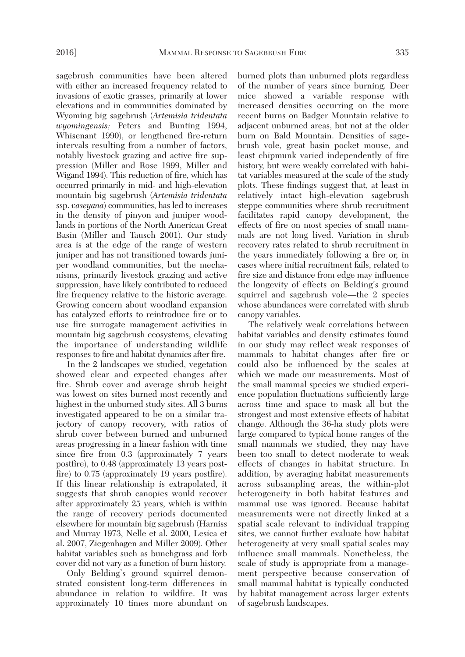sagebrush communities have been altered with either an increased frequency related to invasions of exotic grasses, primarily at lower elevations and in communities dominated by Wyoming big sagebrush (*Artemisia tridentata wyomingensis;* Peters and Bunting 1994, Whisenant 1990), or lengthened fire-return intervals resulting from a number of factors, notably livestock grazing and active fire suppression (Miller and Rose 1999, Miller and Wigand 1994). This reduction of fire, which has occurred primarily in mid- and high-elevation mountain big sagebrush (*Artemisia tridentata* ssp. *vaseyana*) communities, has led to increases in the density of pinyon and juniper woodlands in portions of the North American Great Basin (Miller and Tausch 2001). Our study area is at the edge of the range of western juniper and has not transitioned towards juniper woodland communities, but the mechanisms, primarily livestock grazing and active suppression, have likely contributed to reduced fire frequency relative to the historic average. Growing concern about woodland expansion has catalyzed efforts to reintroduce fire or to use fire surrogate management activities in mountain big sagebrush ecosystems, elevating the importance of understanding wildlife responses to fire and habitat dynamics after fire.

 In the 2 landscapes we studied, vegetation showed clear and expected changes after fire. Shrub cover and average shrub height was lowest on sites burned most recently and highest in the unburned study sites. All 3 burns investigated appeared to be on a similar trajectory of canopy recovery, with ratios of shrub cover between burned and unburned areas progressing in a linear fashion with time since fire from 0.3 (approximately 7 years postfire), to 0.48 (approximately 13 years postfire) to 0.75 (approximately 19 years postfire). If this linear relationship is extrapolated, it suggests that shrub canopies would recover after approximately 25 years, which is within the range of recovery periods documented elsewhere for mountain big sagebrush (Harniss and Murray 1973, Nelle et al. 2000, Lesica et al. 2007, Ziegenhagen and Miller 2009). Other habitat variables such as bunchgrass and forb cover did not vary as a function of burn history.

 Only Belding's ground squirrel demonstrated consistent long-term differences in abundance in relation to wildfire. It was approximately 10 times more abundant on burned plots than unburned plots regardless of the number of years since burning. Deer mice showed a variable response with increased densities occurring on the more recent burns on Badger Mountain relative to adjacent unburned areas, but not at the older burn on Bald Mountain. Densities of sagebrush vole, great basin pocket mouse, and least chipmunk varied independently of fire history, but were weakly correlated with habitat variables measured at the scale of the study plots. These findings suggest that, at least in relatively intact high-elevation sagebrush steppe communities where shrub recruitment facilitates rapid canopy development, the effects of fire on most species of small mammals are not long lived. Variation in shrub recovery rates related to shrub recruitment in the years immediately following a fire or, in cases where initial recruitment fails, related to fire size and distance from edge may influence the longevity of effects on Belding's ground squirrel and sagebrush vole—the 2 species whose abundances were correlated with shrub canopy variables.

 The relatively weak correlations between habitat variables and density estimates found in our study may reflect weak responses of mammals to habitat changes after fire or could also be influenced by the scales at which we made our measurements. Most of the small mammal species we studied experience population fluctuations sufficiently large across time and space to mask all but the strongest and most extensive effects of habitat change. Although the 36-ha study plots were large compared to typical home ranges of the small mammals we studied, they may have been too small to detect moderate to weak effects of changes in habitat structure. In addition, by averaging habitat measurements across subsampling areas, the within-plot heterogeneity in both habitat features and mammal use was ignored. Because habitat measurements were not directly linked at a spatial scale relevant to individual trapping sites, we cannot further evaluate how habitat heterogeneity at very small spatial scales may influence small mammals. Nonetheless, the scale of study is appropriate from a management perspective because conservation of small mammal habitat is typically conducted by habitat management across larger extents of sagebrush landscapes.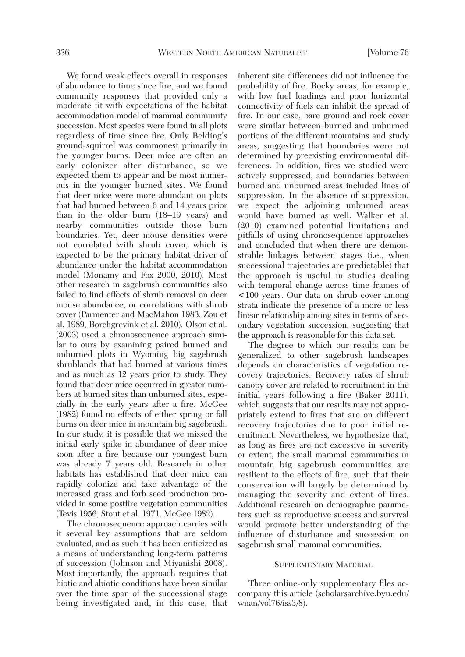We found weak effects overall in responses of abundance to time since fire, and we found community responses that provided only a moderate fit with expectations of the habitat accommodation model of mammal community succession. Most species were found in all plots regardless of time since fire. Only Belding's ground-squirrel was commonest primarily in the younger burns. Deer mice are often an early colonizer after disturbance, so we expected them to appear and be most numerous in the younger burned sites. We found that deer mice were more abundant on plots that had burned between 6 and 14 years prior than in the older burn (18–19 years) and nearby communities outside those burn boundaries. Yet, deer mouse densities were not correlated with shrub cover, which is expected to be the primary habitat driver of abundance under the habitat accommodation model (Monamy and Fox 2000, 2010). Most other research in sagebrush communities also failed to find effects of shrub removal on deer mouse abundance, or correlations with shrub cover (Parmenter and MacMahon 1983, Zou et al. 1989, Borchgrevink et al. 2010). Olson et al. (2003) used a chronosequence approach similar to ours by examining paired burned and unburned plots in Wyoming big sagebrush shrublands that had burned at various times and as much as 12 years prior to study. They found that deer mice occurred in greater numbers at burned sites than unburned sites, especially in the early years after a fire. McGee (1982) found no effects of either spring or fall burns on deer mice in mountain big sagebrush. In our study, it is possible that we missed the initial early spike in abundance of deer mice soon after a fire because our youngest burn was already 7 years old. Research in other habitats has established that deer mice can rapidly colonize and take advantage of the increased grass and forb seed production provided in some postfire vegetation communities (Tevis 1956, Stout et al. 1971, McGee 1982).

 The chronosequence approach carries with it several key assumptions that are seldom evaluated, and as such it has been criticized as a means of understanding long-term patterns of succession (Johnson and Miyanishi 2008). Most importantly, the approach requires that biotic and abiotic conditions have been similar over the time span of the successional stage being investigated and, in this case, that inherent site differences did not influence the probability of fire. Rocky areas, for example, with low fuel loadings and poor horizontal connectivity of fuels can inhibit the spread of fire. In our case, bare ground and rock cover were similar between burned and unburned portions of the different mountains and study areas, suggesting that boundaries were not determined by preexisting environmental differences. In addition, fires we studied were actively suppressed, and boundaries between burned and unburned areas included lines of suppression. In the absence of suppression, we expect the adjoining unburned areas would have burned as well. Walker et al. (2010) examined potential limitations and pitfalls of using chronosequence approaches and concluded that when there are demonstrable linkages between stages (i.e., when successional trajectories are predictable) that the approach is useful in studies dealing with temporal change across time frames of <100 years. Our data on shrub cover among strata indicate the presence of a more or less linear relationship among sites in terms of secondary vegetation succession, suggesting that the approach is reasonable for this data set.

 The degree to which our results can be generalized to other sagebrush landscapes depends on characteristics of vegetation recovery trajectories. Recovery rates of shrub canopy cover are related to recruitment in the initial years following a fire (Baker 2011), which suggests that our results may not appropriately extend to fires that are on different recovery trajectories due to poor initial recruitment. Nevertheless, we hypothesize that, as long as fires are not excessive in severity or extent, the small mammal communities in mountain big sagebrush communities are resilient to the effects of fire, such that their conservation will largely be determined by managing the severity and extent of fires. Additional research on demographic parameters such as reproductive success and survival would promote better understanding of the influence of disturbance and succession on sagebrush small mammal communities.

## SUPPLEMENTARY MATERIAL

 Three online-only supplementary files accompany this article (scholarsarchive.byu.edu/ wnan/vol76/iss3/8).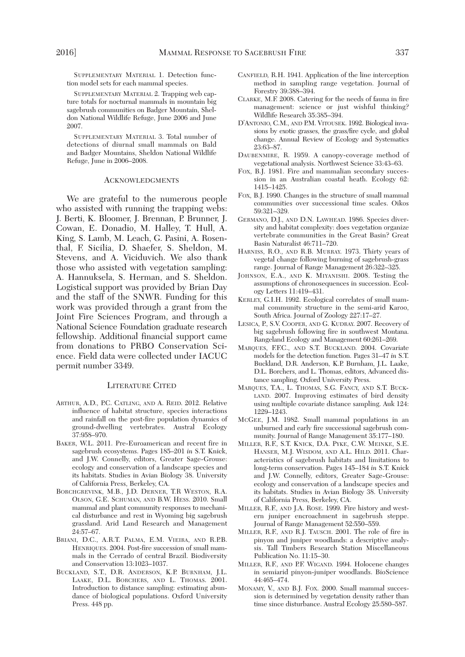SUPPLEMENTARY MATERIAL 1. Detection function model sets for each mammal species.

 SUPPLEMENTARY MATERIAL 2. Trapping web capture totals for nocturnal mammals in mountain big sagebrush communities on Badger Mountain, Sheldon National Wildlife Refuge, June 2006 and June 2007.

 SUPPLEMENTARY MATERIAL 3. Total number of detections of diurnal small mammals on Bald and Badger Mountains, Sheldon National Wildlife Refuge, June in 2006–2008.

#### ACKNOWLEDGMENTS

 We are grateful to the numerous people who assisted with running the trapping webs: J. Berti, K. Bloomer, J. Brennan, P. Brunner, J. Cowan, E. Donadio, M. Halley, T. Hull, A. King, S. Lamb, M. Leach, G. Pasini, A. Rosenthal, F. Sicilia, D. Shaefer, S. Sheldon, M. Stevens, and A. Viciduvich. We also thank those who assisted with vegetation sampling: A. Hannuksela, S. Herman, and S. Sheldon. Logistical support was provided by Brian Day and the staff of the SNWR. Funding for this work was provided through a grant from the Joint Fire Sciences Program, and through a National Science Foundation graduate research fellowship. Additional financial support came from donations to PRBO Conservation Science. Field data were collected under IACUC permit number 3349.

#### LITERATURE CITED

- ARTHUR, A.D., P.C. CATLING, AND A. REID. 2012. Relative influence of habitat structure, species interactions and rainfall on the post-fire population dynamics of ground-dwelling vertebrates. Austral Ecology 37:958–970.
- BAKER, W.L. 2011. Pre-Euroamerican and recent fire in sagebrush ecosystems. Pages 185–201 *in* S.T. Knick, and J.W. Connelly, editors, Greater Sage-Grouse: ecology and conservation of a landscape species and its habitats. Studies in Avian Biology 38. University of California Press, Berkeley, CA.
- BORCHGREVINK, M.B., J.D. DERNER, T.R WESTON, R.A. OLSON, G.E. SCHUMAN, AND B.W. HESS. 2010. Small mammal and plant community responses to mechanical disturbance and rest in Wyoming big sagebrush grassland. Arid Land Research and Management 24:57–67.
- BRIANI, D.C., A.R.T. PALMA, E.M. VIEIRA, AND R.P.B. HENRIQUES. 2004. Post-fire succession of small mammals in the Cerrado of central Brazil. Biodiversity and Conservation 13:1023–1037.
- BUCKLAND, S.T., D.R. ANDERSON, K.P. BURNHAM, J.L. LAAKE, D.L. BORCHERS, AND L. THOMAS. 2001. Introduction to distance sampling: estimating abundance of biological populations. Oxford University Press. 448 pp.
- CANFIELD, R.H. 1941. Application of the line interception method in sampling range vegetation. Journal of Forestry 39:388–394.
- CLARKE, M.F. 2008. Catering for the needs of fauna in fire management: science or just wishful thinking? Wildlife Research 35:385–394.
- D'ANTONIO, C.M., AND P.M. VITOUSEK. 1992. Biological invasions by exotic grasses, the grass/fire cycle, and global change. Annual Review of Ecology and Systematics 23:63–87.
- DAUBENMIRE, R. 1959. A canopy-coverage method of vegetational analysis. Northwest Science 33:43–63.
- FOX, B.J. 1981. Fire and mammalian secondary succession in an Australian coastal heath. Ecology 62: 1415–1425.
- FOX, B.J. 1990. Changes in the structure of small mammal communities over successional time scales. Oikos 59:321–329.
- GERMANO, D.J., AND D.N. LAWHEAD. 1986. Species diversity and habitat complexity: does vegetation organize vertebrate communities in the Great Basin? Great Basin Naturalist 46:711–720.
- HARNISS, R.O., AND R.B. MURRAY. 1973. Thirty years of vegetal change following burning of sagebrush-grass range. Journal of Range Management 26:322–325.
- JOHNSON, E.A., AND K. MIYANISHI. 2008. Testing the assumptions of chronosequences in succession. Ecology Letters 11:419–431.
- KERLEY, G.I.H. 1992. Ecological correlates of small mammal community structure in the semi-arid Karoo, South Africa. Journal of Zoology 227:17–27.
- LESICA, P., S.V. COOPER, AND G. KUDRAY. 2007. Recovery of big sagebrush following fire in southwest Montana. Rangeland Ecology and Management 60:261–269.
- MARQUES, F.F.C., AND S.T. BUCKLAND. 2004. Covariate models for the detection function. Pages 31–47 *in* S.T. Buckland, D.R. Anderson, K.P. Burnham, J.L. Laake, D.L. Borchers, and L. Thomas, editors, Advanced distance sampling. Oxford University Press.
- MARQUES, T.A., L. THOMAS, S.G. FANCY, AND S.T. BUCK-LAND. 2007. Improving estimates of bird density using multiple covariate distance sampling. Auk 124: 1229–1243.
- MCGEE, J.M. 1982. Small mammal populations in an unburned and early fire successional sagebrush community. Journal of Range Management 35:177–180.
- MILLER, R.F., S.T. KNICK, D.A. PYKE, C.W. MEINKE, S.E. HANSER, M.J. WISDOM, AND A.L. HILD. 2011. Characteristics of sagebrush habitats and limitations to long-term conservation. Pages 145–184 *in* S.T. Knick and J.W. Connelly, editors, Greater Sage-Grouse: ecology and conservation of a landscape species and its habitats. Studies in Avian Biology 38. University of California Press, Berkeley, CA.
- MILLER, R.F., AND J.A. ROSE. 1999. Fire history and western juniper encroachment in sagebrush steppe. Journal of Range Management 52:550–559.
- MILLER, R.F., AND R.J. TAUSCH. 2001. The role of fire in pinyon and juniper woodlands: a descriptive analysis. Tall Timbers Research Station Miscellaneous Publication No. 11:15–30.
- MILLER, R.F., AND P.F. WIGAND. 1994. Holocene changes in semiarid pinyon-juniper woodlands. BioScience 44:465–474.
- MONAMY, V., AND B.J. FOX. 2000. Small mammal succession is determined by vegetation density rather than time since disturbance. Austral Ecology 25:580–587.